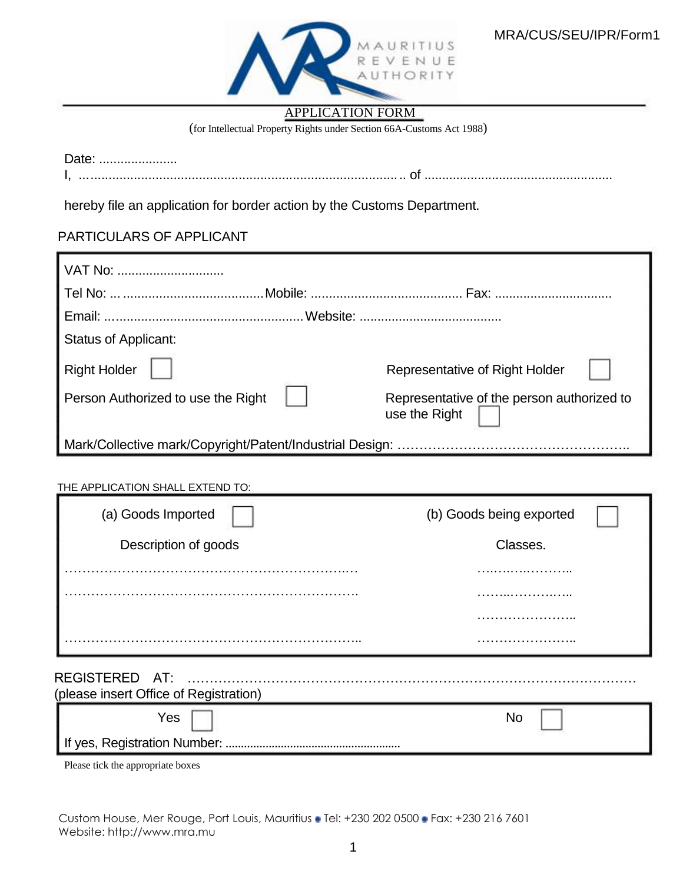

## APPLICATION FORM

(for Intellectual Property Rights under Section 66A-Customs Act 1988)

Date: ....................... I, .......................................................................................... of .....................................................

hereby file an application for border action by the Customs Department.

## PARTICULARS OF APPLICANT

| VAT No:                            |  |                                                             |  |
|------------------------------------|--|-------------------------------------------------------------|--|
|                                    |  |                                                             |  |
|                                    |  |                                                             |  |
| <b>Status of Applicant:</b>        |  |                                                             |  |
| <b>Right Holder</b>                |  | Representative of Right Holder                              |  |
| Person Authorized to use the Right |  | Representative of the person authorized to<br>use the Right |  |
|                                    |  |                                                             |  |

## THE APPLICATION SHALL EXTEND TO:

| (a) Goods Imported                     | (b) Goods being exported |
|----------------------------------------|--------------------------|
| Description of goods                   | Classes.                 |
|                                        |                          |
|                                        |                          |
|                                        |                          |
|                                        |                          |
| REGISTERED AT:                         |                          |
| (please insert Office of Registration) |                          |
| Yes                                    | <b>No</b>                |
| If yes, Registration Number:           |                          |

Please tick the appropriate boxes

Custom House, Mer Rouge, Port Louis, Mauritius • Tel: +230 202 0500 • Fax: +230 216 7601 Website: http://www.mra.mu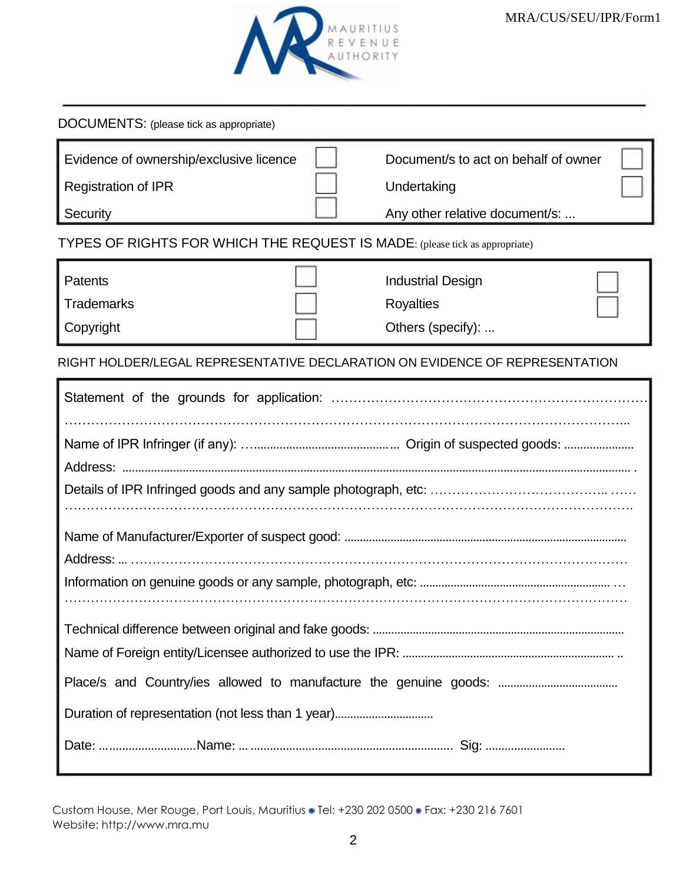| DOCUMENTS: (please tick as appropriate)                                           |                                                                                       |  |  |  |
|-----------------------------------------------------------------------------------|---------------------------------------------------------------------------------------|--|--|--|
| Evidence of ownership/exclusive licence<br><b>Registration of IPR</b><br>Security | Document/s to act on behalf of owner<br>Undertaking<br>Any other relative document/s: |  |  |  |
| TYPES OF RIGHTS FOR WHICH THE REQUEST IS MADE: (please tick as appropriate)       |                                                                                       |  |  |  |
| Patents<br><b>Trademarks</b><br>Copyright                                         | <b>Industrial Design</b><br><b>Royalties</b><br>Others (specify):                     |  |  |  |
| RIGHT HOLDER/LEGAL REPRESENTATIVE DECLARATION ON EVIDENCE OF REPRESENTATION       |                                                                                       |  |  |  |
|                                                                                   |                                                                                       |  |  |  |
|                                                                                   |                                                                                       |  |  |  |
|                                                                                   |                                                                                       |  |  |  |
|                                                                                   |                                                                                       |  |  |  |

Custom House, Mer Rouge, Port Louis, Mauritius • Tel: +230 202 0500 • Fax: +230 216 7601 Website: http://www.mra.mu